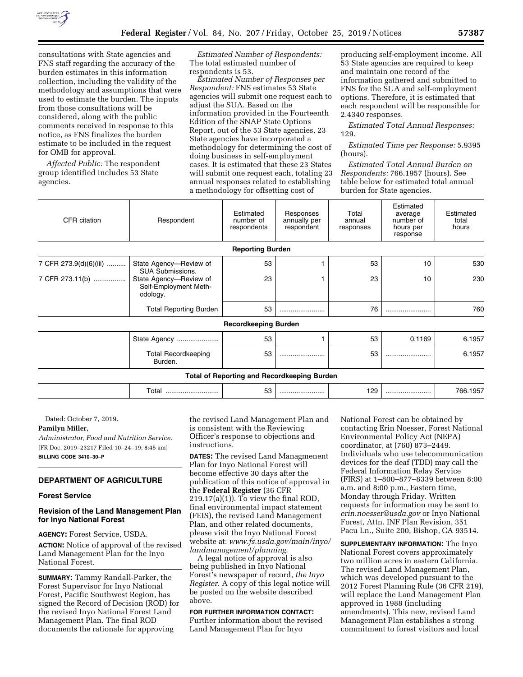

consultations with State agencies and FNS staff regarding the accuracy of the burden estimates in this information collection, including the validity of the methodology and assumptions that were used to estimate the burden. The inputs from those consultations will be considered, along with the public comments received in response to this notice, as FNS finalizes the burden estimate to be included in the request for OMB for approval.

*Affected Public:* The respondent group identified includes 53 State agencies.

*Estimated Number of Respondents:*  The total estimated number of respondents is 53.

*Estimated Number of Responses per Respondent:* FNS estimates 53 State agencies will submit one request each to adjust the SUA. Based on the information provided in the Fourteenth Edition of the SNAP State Options Report, out of the 53 State agencies, 23 State agencies have incorporated a methodology for determining the cost of doing business in self-employment cases. It is estimated that these 23 States will submit one request each, totaling 23 annual responses related to establishing a methodology for offsetting cost of

producing self-employment income. All 53 State agencies are required to keep and maintain one record of the information gathered and submitted to FNS for the SUA and self-employment options. Therefore, it is estimated that each respondent will be responsible for 2.4340 responses.

*Estimated Total Annual Responses:*  129.

*Estimated Time per Response:* 5.9395 (hours).

*Estimated Total Annual Burden on Respondents:* 766.1957 (hours). See table below for estimated total annual burden for State agencies.

| CFR citation                              | Respondent                                                                                                       | Estimated<br>number of<br>respondents | Responses<br>annually per<br>respondent            | Total<br>annual<br>responses | Estimated<br>average<br>number of<br>hours per<br>response | Estimated<br>total<br>hours |
|-------------------------------------------|------------------------------------------------------------------------------------------------------------------|---------------------------------------|----------------------------------------------------|------------------------------|------------------------------------------------------------|-----------------------------|
|                                           |                                                                                                                  | <b>Reporting Burden</b>               |                                                    |                              |                                                            |                             |
| 7 CFR 273.9(d)(6)(iii)<br>7 CFR 273.11(b) | State Agency-Review of<br><b>SUA Submissions.</b><br>State Agency-Review of<br>Self-Employment Meth-<br>odology. | 53<br>23                              |                                                    | 53<br>23                     | 10<br>10                                                   | 530<br>230                  |
|                                           | <b>Total Reporting Burden</b>                                                                                    | 53                                    |                                                    | 76                           |                                                            | 760                         |
|                                           |                                                                                                                  | <b>Recordkeeping Burden</b>           |                                                    |                              |                                                            |                             |
|                                           | State Agency                                                                                                     | 53                                    |                                                    | 53                           | 0.1169                                                     | 6.1957                      |
|                                           | <b>Total Recordkeeping</b><br>Burden.                                                                            | 53                                    |                                                    | 53                           |                                                            | 6.1957                      |
|                                           |                                                                                                                  |                                       | <b>Total of Reporting and Recordkeeping Burden</b> |                              |                                                            |                             |
|                                           | Total                                                                                                            | 53                                    |                                                    | 129                          |                                                            | 766.1957                    |

Dated: October 7, 2019.

### **Pamilyn Miller,**

*Administrator, Food and Nutrition Service.*  [FR Doc. 2019–23217 Filed 10–24–19; 8:45 am] **BILLING CODE 3410–30–P** 

### **DEPARTMENT OF AGRICULTURE**

#### **Forest Service**

## **Revision of the Land Management Plan for Inyo National Forest**

**AGENCY:** Forest Service, USDA.

**ACTION:** Notice of approval of the revised Land Management Plan for the Inyo National Forest.

**SUMMARY:** Tammy Randall-Parker, the Forest Supervisor for Inyo National Forest, Pacific Southwest Region, has signed the Record of Decision (ROD) for the revised Inyo National Forest Land Management Plan. The final ROD documents the rationale for approving

the revised Land Management Plan and is consistent with the Reviewing Officer's response to objections and instructions.

**DATES:** The revised Land Managmenent Plan for Inyo National Forest will become effective 30 days after the publication of this notice of approval in the **Federal Register** (36 CFR 219.17(a)(1)). To view the final ROD, final environmental impact statement (FEIS), the revised Land Management Plan, and other related documents, please visit the Inyo National Forest website at: *[www.fs.usda.gov/main/inyo/](http://www.fs.usda.gov/main/inyo/landmanagement/planning) [landmanagement/planning](http://www.fs.usda.gov/main/inyo/landmanagement/planning)*.

A legal notice of approval is also being published in Inyo National Forest's newspaper of record, *the Inyo Register.* A copy of this legal notice will be posted on the website described above.

## **FOR FURTHER INFORMATION CONTACT:**

Further information about the revised Land Management Plan for Inyo

National Forest can be obtained by contacting Erin Noesser, Forest National Environmental Policy Act (NEPA) coordinator, at (760) 873–2449. Individuals who use telecommunication devices for the deaf (TDD) may call the Federal Information Relay Service (FIRS) at 1–800–877–8339 between 8:00 a.m. and 8:00 p.m., Eastern time, Monday through Friday. Written requests for information may be sent to *[erin.noesser@usda.gov](mailto:erin.noesser@usda.gov)* or Inyo National Forest, Attn. INF Plan Revision, 351 Pacu Ln., Suite 200, Bishop, CA 93514.

**SUPPLEMENTARY INFORMATION:** The Inyo National Forest covers approximately two million acres in eastern California. The revised Land Management Plan, which was developed pursuant to the 2012 Forest Planning Rule (36 CFR 219), will replace the Land Management Plan approved in 1988 (including amendments). This new, revised Land Management Plan establishes a strong commitment to forest visitors and local